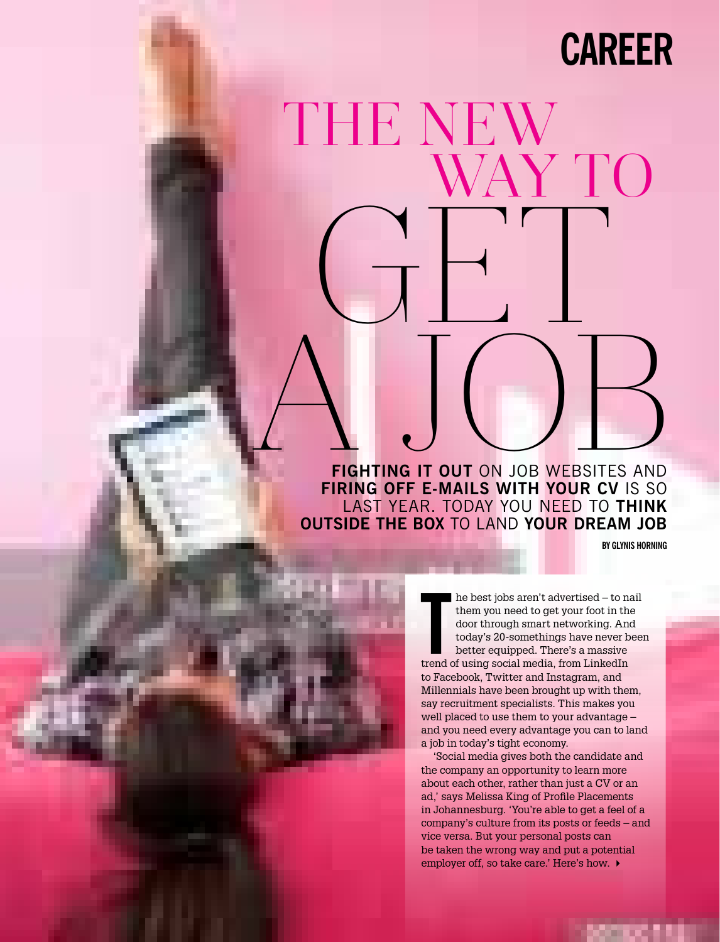## **career**

# GET A JOURNED WEBSITES AND THE NEW the contract of the contract of the contract of the contract of the contract of the contract of the contract of the contract of the contract of the contract of the contract of the contract of the contract of the contract o WAY TO

**Fighting it out** on job websites and **FIRING OFF E-MAILS WITH YOUR CV IS SO** last year. Today you need to **think outside the box** to land **your dream job**

**Photogra p hy** xxxxxxxxxxxxx xxxxxxx xxxxxxx xxxxxxxxxxx

**By glynis horning**

The best jobs aren't advertised – to n<br>
them you need to get your foot in th<br>
door through smart networking. An<br>
today's 20-somethings have never b<br>
better equipped. There's a massive<br>
trend of using social media, from Lin he best jobs aren't advertised – to nail them you need to get your foot in the door through smart networking. And today's 20-somethings have never been better equipped. There's a massive to Facebook, Twitter and Instagram, and Millennials have been brought up with them, say recruitment specialists. This makes you well placed to use them to your advantage – and you need every advantage you can to land a job in today's tight economy.

'Social media gives both the candidate and the company an opportunity to learn more about each other, rather than just a CV or an ad,' says Melissa King of Profile Placements in Johannesburg. 'You're able to get a feel of a company's culture from its posts or feeds – and vice versa. But your personal posts can be taken the wrong way and put a potential employer off, so take care.' Here's how. ▶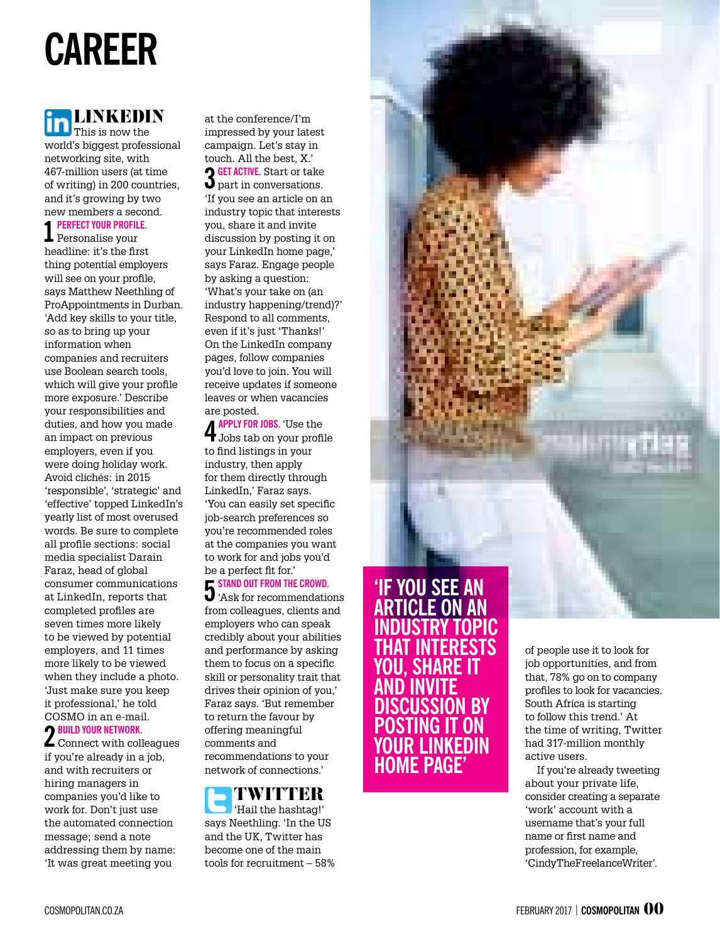# **career**

### LINKEDIN

This is now the world's biggest professional networking site, with 467-million users (at time of writing) in 200 countries, and it's growing by two new members a second.

### **1 Perfect your profilE.**  Personalise your

headline: it's the first thing potential employers will see on your profile, says Matthew Neethling of ProAppointments in Durban. 'Add key skills to your title, so as to bring up your information when companies and recruiters use Boolean search tools, which will give your profile more exposure.' Describe your responsibilities and duties, and how you made an impact on previous employers, even if you were doing holiday work. Avoid clichés: in 2015 'responsible', 'strategic' and 'effective' topped LinkedIn's yearly list of most overused words. Be sure to complete all profile sections: social media specialist Darain Faraz, head of global consumer communications at LinkedIn, reports that completed profiles are seven times more likely to be viewed by potential employers, and 11 times more likely to be viewed when they include a photo. 'Just make sure you keep it professional,' he told COSMO in an e-mail.

**2 Build your network.** Connect with colleagues if you're already in a job, and with recruiters or hiring managers in companies you'd like to work for. Don't just use the automated connection message; send a note addressing them by name: 'It was great meeting you

at the conference/I'm impressed by your latest campaign. Let's stay in touch. All the best, X.' **3 Get active.** Start or take part in conversations. 'If you see an article on an industry topic that interests you, share it and invite discussion by posting it on your LinkedIn home page,' says Faraz. Engage people by asking a question: 'What's your take on (an industry happening/trend)?' Respond to all comments, even if it's just 'Thanks!' On the LinkedIn company pages, follow companies you'd love to join. You will receive updates if someone leaves or when vacancies are posted.

**4 Apply for jobs.** 'Use the Jobs tab on your profile to find listings in your industry, then apply for them directly through LinkedIn,' Faraz says. 'You can easily set specific job-search preferences so you're recommended roles at the companies you want to work for and jobs you'd be a perfect fit for.'

### **5 STAND OUT FROM THE CROWD.**

'Ask for recommendations from colleagues, clients and employers who can speak credibly about your abilities and performance by asking them to focus on a specific skill or personality trait that drives their opinion of you,' Faraz says. 'But remember to return the favour by offering meaningful comments and recommendations to your network of connections.'

### TWITTER 'Hail the hashtag!' says Neethling. 'In the US

and the UK, Twitter has become one of the main tools for recruitment – 58%

### **'If you see an article on an industry topic that interests you, share it and invite discussion by posting it on your LinkedIn home page'**

of people use it to look for job opportunities, and from that, 78% go on to company profiles to look for vacancies. South Africa is starting to follow this trend.' At the time of writing, Twitter had 317-million monthly active users.

If you're already tweeting about your private life, consider creating a separate 'work' account with a username that's your full name or first name and profession, for example, 'CindyTheFreelanceWriter'.